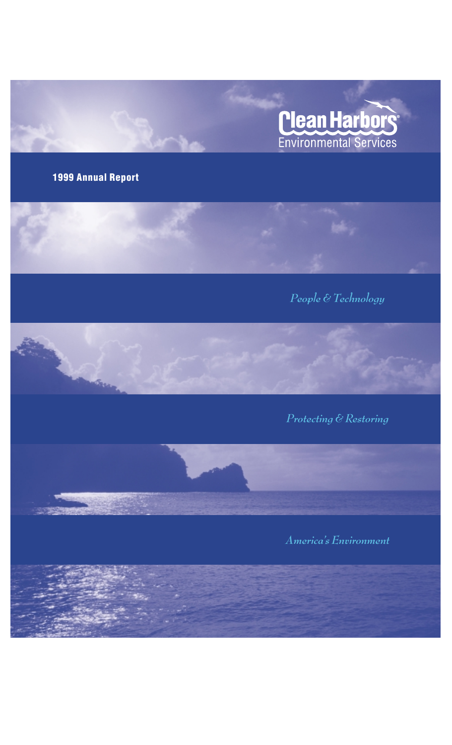

### **1999 Annual Report**





*America's Environment*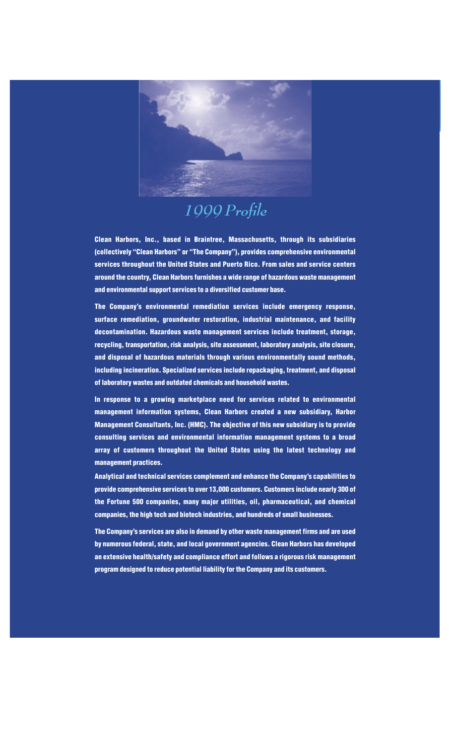

## *1999 Profile*

**Clean Harbors, Inc., based in Braintree, Massachusetts, through its subsidiaries (collectively "Clean Harbors" or "The Company"), provides comprehensive environmental services throughout the United States and Puerto Rico. From sales and service centers around the country, Clean Harbors furnishes a wide range of hazardous waste management and environmental support services to a diversified customer base.**

**The Company's environmental remediation services include emergency response, surface remediation, groundwater restoration, industrial maintenance, and facility decontamination. Hazardous waste management services include treatment, storage, recycling, transportation, risk analysis, site assessment, laboratory analysis, site closure, and disposal of hazardous materials through various environmentally sound methods, including incineration. Specialized services include repackaging, treatment, and disposal of laboratory wastes and outdated chemicals and household wastes.**

**In response to a growing marketplace need for services related to environmental management information systems, Clean Harbors created a new subsidiary, Harbor Management Consultants, Inc. (HMC). The objective of this new subsidiary is to provide consulting services and environmental information management systems to a broad array of customers throughout the United States using the latest technology and management practices.** 

**Analytical and technical services complement and enhance the Company's capabilities to provide comprehensive services to over 13,000 customers. Customers include nearly 300 of the Fortune 500 companies, many major utilities, oil, pharmaceutical, and chemical companies, the high tech and biotech industries, and hundreds of small businesses.** 

**The Company's services are also in demand by other waste management firms and are used by numerous federal, state, and local government agencies. Clean Harbors has developed an extensive health/safety and compliance effort and follows a rigorous risk management program designed to reduce potential liability for the Company and its customers.**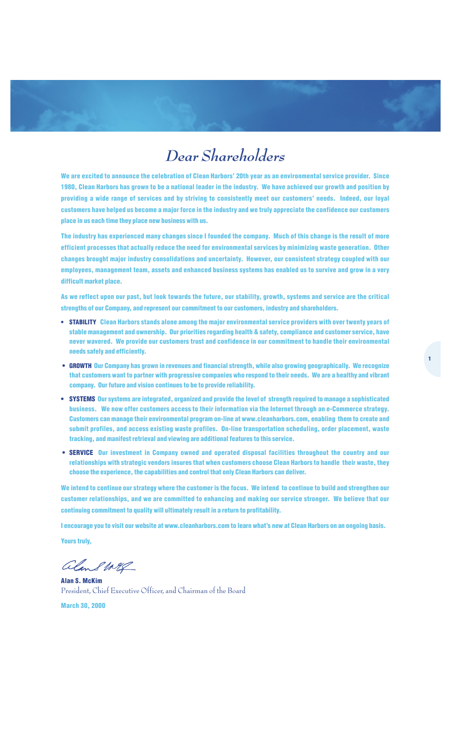### *Dear Shareholders*

**We are excited to announce the celebration of Clean Harbors' 20th year as an environmental service provider. Since 1980, Clean Harbors has grown to be a national leader in the industry. We have achieved our growth and position by providing a wide range of services and by striving to consistently meet our customers' needs. Indeed, our loyal customers have helped us become a major force in the industry and we truly appreciate the confidence our customers place in us each time they place new business with us.**

**The industry has experienced many changes since I founded the company. Much of this change is the result of more efficient processes that actually reduce the need for environmental services by minimizing waste generation. Other changes brought major industry consolidations and uncertainty. However, our consistent strategy coupled with our employees, management team, assets and enhanced business systems has enabled us to survive and grow in a very difficult market place.**

**As we reflect upon our past, but look towards the future, our stability, growth, systems and service are the critical strengths of our Company, and represent our commitment to our customers, industry and shareholders.**

- **• STABILITY Clean Harbors stands alone among the major environmental service providers with over twenty years of stable management and ownership. Our priorities regarding health & safety, compliance and customer service, have never wavered. We provide our customers trust and confidence in our commitment to handle their environmental needs safely and efficiently.**
- **• GROWTH Our Company has grown in revenues and financial strength, while also growing geographically. We recognize that customers want to partner with progressive companies who respond to their needs. We are a healthy and vibrant company. Our future and vision continues to be to provide reliability.**
- **• SYSTEMS Our systems are integrated, organized and provide the level of strength required to manage a sophisticated business. We now offer customers access to their information via the Internet through an e-Commerce strategy. Customers can manage their environmental program on-line at www.cleanharbors.com, enabling them to create and submit profiles, and access existing waste profiles. On-line transportation scheduling, order placement, waste tracking, and manifest retrieval and viewing are additional features to this service.**
- **• SERVICE Our investment in Company owned and operated disposal facilities throughout the country and our relationships with strategic vendors insures that when customers choose Clean Harbors to handle their waste, they choose the experience, the capabilities and control that only Clean Harbors can deliver.**

**We intend to continue our strategy where the customer is the focus. We intend to continue to build and strengthen our customer relationships, and we are committed to enhancing and making our service stronger. We believe that our continuing commitment to quality will ultimately result in a return to profitability.** 

**I encourage you to visit our website at www.cleanharbors.com to learn what's new at Clean Harbors on an ongoing basis.** 

**Yours truly,**

alans weg

**Alan S. McKim** President, Chief Executive Officer, and Chairman of the Board

**March 30, 2000**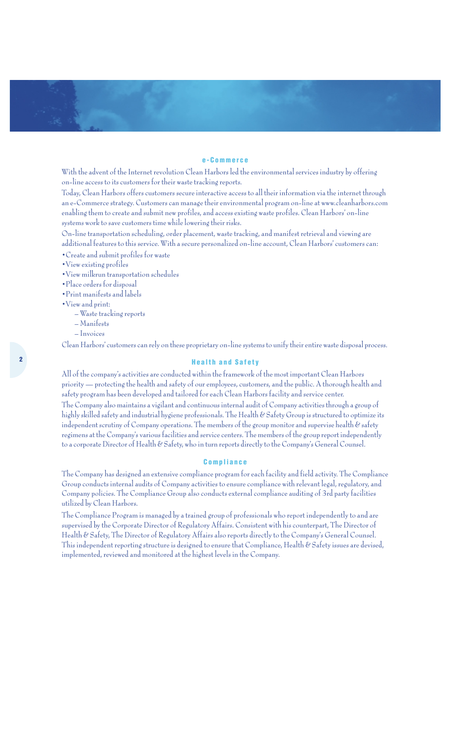#### **e-Commerce**

With the advent of the Internet revolution Clean Harbors led the environmental services industry by offering on-line access to its customers for their waste tracking reports.

Today, Clean Harbors offers customers secure interactive access to all their information via the internet through an e-Commerce strategy. Customers can manage their environmental program on-line at www.cleanharbors.com enabling them to create and submit new profiles, and access existing waste profiles. Clean Harbors' on-line systems work to save customers time while lowering their risks.

On-line transportation scheduling, order placement, waste tracking, and manifest retrieval and viewing are additional features to this service. With a secure personalized on-line account, Clean Harbors' customers can:

- •Create and submit profiles for waste
- •View existing profiles
- •View milkrun transportation schedules
- •Place orders for disposal
- •Print manifests and labels
- •View and print:
	- Waste tracking reports
	- Manifests
	- Invoices

Clean Harbors' customers can rely on these proprietary on-line systems to unify their entire waste disposal process.

#### **Health and Safety**

All of the company's activities are conducted within the framework of the most important Clean Harbors priority — protecting the health and safety of our employees, customers, and the public. A thorough health and safety program has been developed and tailored for each Clean Harbors facility and service center.

The Company also maintains a vigilant and continuous internal audit of Company activities through a group of highly skilled safety and industrial hygiene professionals. The Health & Safety Group is structured to optimize its independent scrutiny of Company operations. The members of the group monitor and supervise health  $\mathscr E$  safety regimens at the Company's various facilities and service centers. The members of the group report independently to a corporate Director of Health & Safety, who in turn reports directly to the Company's General Counsel.

#### **Compliance**

The Company has designed an extensive compliance program for each facility and field activity. The Compliance Group conducts internal audits of Company activities to ensure compliance with relevant legal, regulatory, and Company policies. The Compliance Group also conducts external compliance auditing of 3rd party facilities utilized by Clean Harbors.

The Compliance Program is managed by a trained group of professionals who report independently to and are supervised by the Corporate Director of Regulatory Affairs. Consistent with his counterpart, The Director of Health & Safety, The Director of Regulatory Affairs also reports directly to the Company's General Counsel. This independent reporting structure is designed to ensure that Compliance, Health & Safety issues are devised, implemented, reviewed and monitored at the highest levels in the Company.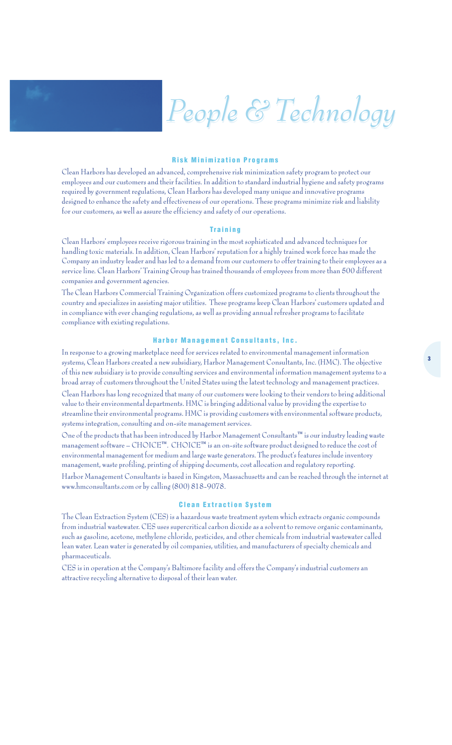# *People & Technology People & Technology*

#### **Risk Minimization Programs**

Clean Harbors has developed an advanced, comprehensive risk minimization safety program to protect our employees and our customers and their facilities. In addition to standard industrial hygiene and safety programs required by government regulations, Clean Harbors has developed many unique and innovative programs designed to enhance the safety and effectiveness of our operations. These programs minimize risk and liability for our customers, as well as assure the efficiency and safety of our operations.

#### **Training**

Clean Harbors' employees receive rigorous training in the most sophisticated and advanced techniques for handling toxic materials. In addition, Clean Harbors' reputation for a highly trained work force has made the Company an industry leader and has led to a demand from our customers to offer training to their employees as a service line. Clean Harbors' Training Group has trained thousands of employees from more than 500 different companies and government agencies.

The Clean Harbors Commercial Training Organization offers customized programs to clients throughout the country and specializes in assisting major utilities. These programs keep Clean Harbors' customers updated and in compliance with ever changing regulations, as well as providing annual refresher programs to facilitate compliance with existing regulations.

#### **Harbor Management Consultants, Inc.**

In response to a growing marketplace need for services related to environmental management information systems, Clean Harbors created a new subsidiary, Harbor Management Consultants, Inc. (HMC). The objective of this new subsidiary is to provide consulting services and environmental information management systems to a broad array of customers throughout the United States using the latest technology and management practices. Clean Harbors has long recognized that many of our customers were looking to their vendors to bring additional value to their environmental departments. HMC is bringing additional value by providing the expertise to streamline their environmental programs. HMC is providing customers with environmental software products, systems integration, consulting and on-site management services.

One of the products that has been introduced by Harbor Management Consultants™ is our industry leading waste management software – CHOICE™. CHOICE™ is an on-site software product designed to reduce the cost of environmental management for medium and large waste generators. The product's features include inventory management, waste profiling, printing of shipping documents, cost allocation and regulatory reporting.

Harbor Management Consultants is based in Kingston, Massachusetts and can be reached through the internet at www.hmconsultants.com or by calling (800) 818-9078.

#### **Clean Extraction System**

The Clean Extraction System (CES) is a hazardous waste treatment system which extracts organic compounds from industrial wastewater. CES uses supercritical carbon dioxide as a solvent to remove organic contaminants, such as gasoline, acetone, methylene chloride, pesticides, and other chemicals from industrial wastewater called lean water. Lean water is generated by oil companies, utilities, and manufacturers of specialty chemicals and pharmaceuticals.

CES is in operation at the Company's Baltimore facility and offers the Company's industrial customers an attractive recycling alternative to disposal of their lean water.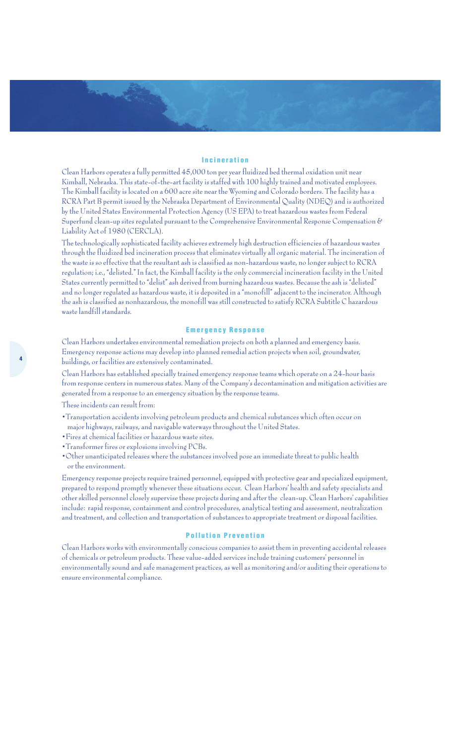#### **Incineration**

Clean Harbors operates a fully permitted 45,000 ton per year fluidized bed thermal oxidation unit near Kimball, Nebraska. This state-of-the-art facility is staffed with 100 highly trained and motivated employees. The Kimball facility is located on a 600 acre site near the Wyoming and Colorado borders. The facility has a RCRA Part B permit issued by the Nebraska Department of Environmental Quality (NDEQ) and is authorized by the United States Environmental Protection Agency (US EPA) to treat hazardous wastes from Federal Superfund clean-up sites regulated pursuant to the Comprehensive Environmental Response Compensation & Liability Act of 1980 (CERCLA).

The technologically sophisticated facility achieves extremely high destruction efficiencies of hazardous wastes through the fluidized bed incineration process that eliminates virtually all organic material. The incineration of the waste is so effective that the resultant ash is classified as non-hazardous waste, no longer subject to RCRA regulation; i.e., "delisted." In fact, the Kimball facility is the only commercial incineration facility in the United States currently permitted to "delist" ash derived from burning hazardous wastes. Because the ash is "delisted" and no longer regulated as hazardous waste, it is deposited in a "monofill" adjacent to the incinerator. Although the ash is classified as nonhazardous, the monofill was still constructed to satisfy RCRA Subtitle C hazardous waste landfill standards.

#### **Emergency Response**

Clean Harbors undertakes environmental remediation projects on both a planned and emergency basis. Emergency response actions may develop into planned remedial action projects when soil, groundwater, buildings, or facilities are extensively contaminated.

Clean Harbors has established specially trained emergency response teams which operate on a 24-hour basis from response centers in numerous states. Many of the Company's decontamination and mitigation activities are generated from a response to an emergency situation by the response teams.

These incidents can result from:

- •Transportation accidents involving petroleum products and chemical substances which often occur on major highways, railways, and navigable waterways throughout the United States.
- •Fires at chemical facilities or hazardous waste sites.
- •Transformer fires or explosions involving PCBs.
- •Other unanticipated releases where the substances involved pose an immediate threat to public health or the environment.

Emergency response projects require trained personnel, equipped with protective gear and specialized equipment, prepared to respond promptly whenever these situations occur. Clean Harbors' health and safety specialists and other skilled personnel closely supervise these projects during and after the clean-up. Clean Harbors' capabilities include: rapid response, containment and control procedures, analytical testing and assessment, neutralization and treatment, and collection and transportation of substances to appropriate treatment or disposal facilities.

#### **Pollution Prevention**

Clean Harbors works with environmentally conscious companies to assist them in preventing accidental releases of chemicals or petroleum products. These value-added services include training customers' personnel in environmentally sound and safe management practices, as well as monitoring and/or auditing their operations to ensure environmental compliance.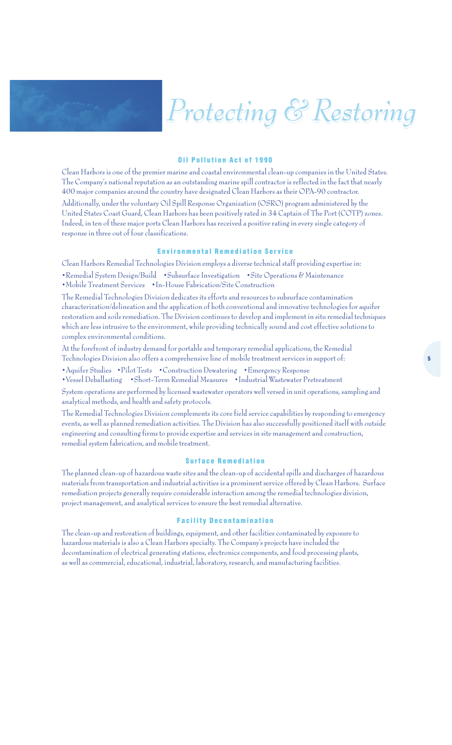## *Protecting & Restoring Protecting & Restoring*

#### **Oil Pollution Act of 1990**

Clean Harbors is one of the premier marine and coastal environmental clean-up companies in the United States. The Company's national reputation as an outstanding marine spill contractor is reflected in the fact that nearly 400 major companies around the country have designated Clean Harbors as their OPA-90 contractor. Additionally, under the voluntary Oil Spill Response Organization (OSRO) program administered by the United States Coast Guard, Clean Harbors has been positively rated in 34 Captain of The Port (COTP) zones. Indeed, in ten of these major ports Clean Harbors has received a positive rating in every single category of response in three out of four classifications.

#### **Environmental Remediation Service**

Clean Harbors Remedial Technologies Division employs a diverse technical staff providing expertise in:

- •Remedial System Design/Build •Subsurface Investigation •Site Operations & Maintenance
- •Mobile Treatment Services •In-House Fabrication/Site Construction

The Remedial Technologies Division dedicates its efforts and resources to subsurface contamination characterization/delineation and the application of both conventional and innovative technologies for aquifer restoration and soils remediation. The Division continues to develop and implement in situ remedial techniques which are less intrusive to the environment, while providing technically sound and cost effective solutions to complex environmental conditions.

At the forefront of industry demand for portable and temporary remedial applications, the Remedial Technologies Division also offers a comprehensive line of mobile treatment services in support of:

•Aquifer Studies •Pilot Tests •Construction Dewatering •Emergency Response

•Vessel Deballasting •Short-Term Remedial Measures •Industrial Wastewater Pretreatment

System operations are performed by licensed wastewater operators well versed in unit operations, sampling and analytical methods, and health and safety protocols.

The Remedial Technologies Division complements its core field service capabilities by responding to emergency events, as well as planned remediation activities. The Division has also successfully positioned itself with outside engineering and consulting firms to provide expertise and services in site management and construction, remedial system fabrication, and mobile treatment.

#### **Surface Remediation**

The planned clean-up of hazardous waste sites and the clean-up of accidental spills and discharges of hazardous materials from transportation and industrial activities is a prominent service offered by Clean Harbors. Surface remediation projects generally require considerable interaction among the remedial technologies division, project management, and analytical services to ensure the best remedial alternative.

#### **Facility Decontamination**

The clean-up and restoration of buildings, equipment, and other facilities contaminated by exposure to hazardous materials is also a Clean Harbors specialty. The Company's projects have included the decontamination of electrical generating stations, electronics components, and food processing plants, as well as commercial, educational, industrial, laboratory, research, and manufacturing facilities.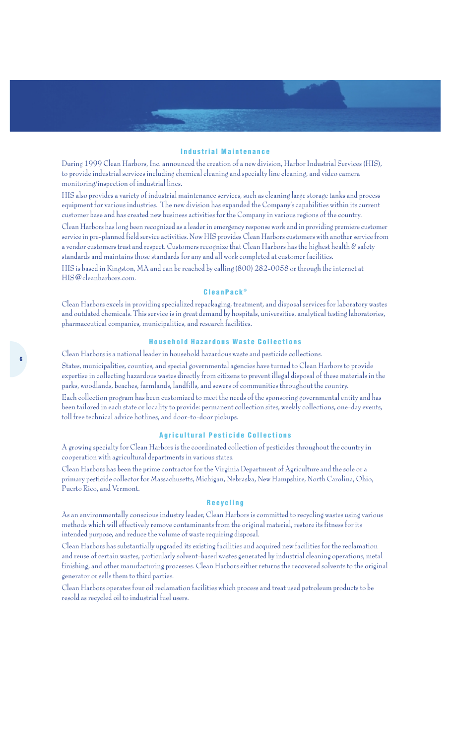#### **Industrial Maintenance**

During 1999 Clean Harbors, Inc. announced the creation of a new division, Harbor Industrial Services (HIS), to provide industrial services including chemical cleaning and specialty line cleaning, and video camera monitoring/inspection of industrial lines.

HIS also provides a variety of industrial maintenance services, such as cleaning large storage tanks and process equipment for various industries. The new division has expanded the Company's capabilities within its current customer base and has created new business activities for the Company in various regions of the country.

Clean Harbors has long been recognized as a leader in emergency response work and in providing premiere customer service in pre-planned field service activities. Now HIS provides Clean Harbors customers with another service from a vendor customers trust and respect.Customers recognize that Clean Harbors has the highest health & safety standards and maintains those standards for any and all work completed at customer facilities.

HIS is based in Kingston, MA and can be reached by calling (800) 282-0058 or through the internet at HIS@cleanharbors.com.

#### **CleanPack ®**

Clean Harbors excels in providing specialized repackaging, treatment, and disposal services for laboratory wastes and outdated chemicals. This service is in great demand by hospitals, universities, analytical testing laboratories, pharmaceutical companies, municipalities, and research facilities.

#### **Household Hazardous Waste Collections**

Clean Harbors is a national leader in household hazardous waste and pesticide collections.

States, municipalities, counties, and special governmental agencies have turned to Clean Harbors to provide expertise in collecting hazardous wastes directly from citizens to prevent illegal disposal of these materials in the parks, woodlands, beaches, farmlands, landfills, and sewers of communities throughout the country.

Each collection program has been customized to meet the needs of the sponsoring governmental entity and has been tailored in each state or locality to provide: permanent collection sites, weekly collections, one-day events, toll free technical advice hotlines, and door-to-door pickups.

#### **Agricultural Pesticide Collections**

A growing specialty for Clean Harbors is the coordinated collection of pesticides throughout the country in cooperation with agricultural departments in various states.

Clean Harbors has been the prime contractor for the Virginia Department of Agriculture and the sole or a primary pesticide collector for Massachusetts, Michigan, Nebraska, New Hampshire, North Carolina, Ohio, Puerto Rico, and Vermont.

#### **Recycling**

As an environmentally conscious industry leader, Clean Harbors is committed to recycling wastes using various methods which will effectively remove contaminants from the original material, restore its fitness for its intended purpose, and reduce the volume of waste requiring disposal.

Clean Harbors has substantially upgraded its existing facilities and acquired new facilities for the reclamation and reuse of certain wastes, particularly solvent-based wastes generated by industrial cleaning operations, metal finishing, and other manufacturing processes. Clean Harbors either returns the recovered solvents to the original generator or sells them to third parties.

Clean Harbors operates four oil reclamation facilities which process and treat used petroleum products to be resold as recycled oil to industrial fuel users.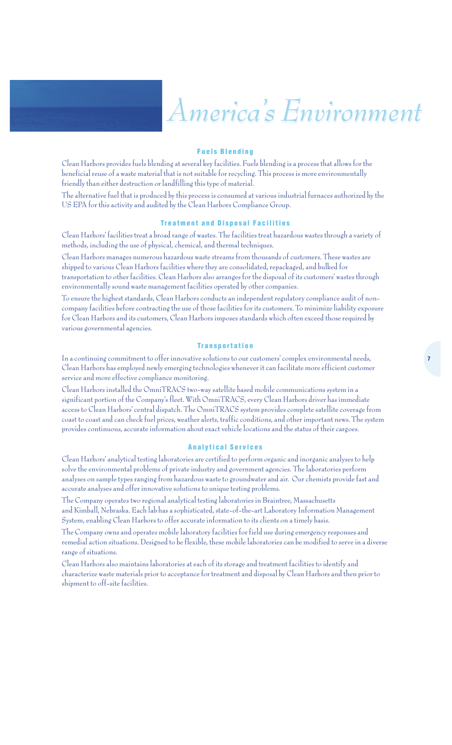## *America's Environment America's Environment*

#### **Fuels Blending**

Clean Harbors provides fuels blending at several key facilities. Fuels blending is a process that allows for the beneficial reuse of a waste material that is not suitable for recycling. This process is more environmentally friendly than either destruction or landfilling this type of material.

The alternative fuel that is produced by this process is consumed at various industrial furnaces authorized by the US EPA for this activity and audited by the Clean Harbors Compliance Group.

#### **Treatment and Disposal Facilities**

Clean Harbors' facilities treat a broad range of wastes. The facilities treat hazardous wastes through a variety of methods, including the use of physical, chemical, and thermal techniques.

Clean Harbors manages numerous hazardous waste streams from thousands of customers. These wastes are shipped to various Clean Harbors facilities where they are consolidated, repackaged, and bulked for transportation to other facilities. Clean Harbors also arranges for the disposal of its customers' wastes through environmentally sound waste management facilities operated by other companies.

To ensure the highest standards, Clean Harbors conducts an independent regulatory compliance audit of noncompany facilities before contracting the use of those facilities for its customers. To minimize liability exposure for Clean Harbors and its customers, Clean Harbors imposes standards which often exceed those required by various governmental agencies.

#### **Transportation**

In a continuing commitment to offer innovative solutions to our customers' complex environmental needs, Clean Harbors has employed newly emerging technologies whenever it can facilitate more efficient customer service and more effective compliance monitoring.

Clean Harbors installed the OmniTRACS two-way satellite based mobile communications system in a significant portion of the Company's fleet. With OmniTRACS, every Clean Harbors driver has immediate access to Clean Harbors' central dispatch. The OmniTRACS system provides complete satellite coverage from coast to coast and can check fuel prices, weather alerts, traffic conditions, and other important news. The system provides continuous, accurate information about exact vehicle locations and the status of their cargoes.

#### **Analytical Services**

Clean Harbors' analytical testing laboratories are certified to perform organic and inorganic analyses to help solve the environmental problems of private industry and government agencies. The laboratories perform analyses on sample types ranging from hazardous waste to groundwater and air. Our chemists provide fast and accurate analyses and offer innovative solutions to unique testing problems.

The Company operates two regional analytical testing laboratories in Braintree, Massachusetts and Kimball, Nebraska. Each lab has a sophisticated, state-of-the-art Laboratory Information Management System, enabling Clean Harbors to offer accurate information to its clients on a timely basis.

The Company owns and operates mobile laboratory facilities for field use during emergency responses and remedial action situations. Designed to be flexible, these mobile laboratories can be modified to serve in a diverse range of situations.

Clean Harbors also maintains laboratories at each of its storage and treatment facilities to identify and characterize waste materials prior to acceptance for treatment and disposal by Clean Harbors and then prior to shipment to off-site facilities.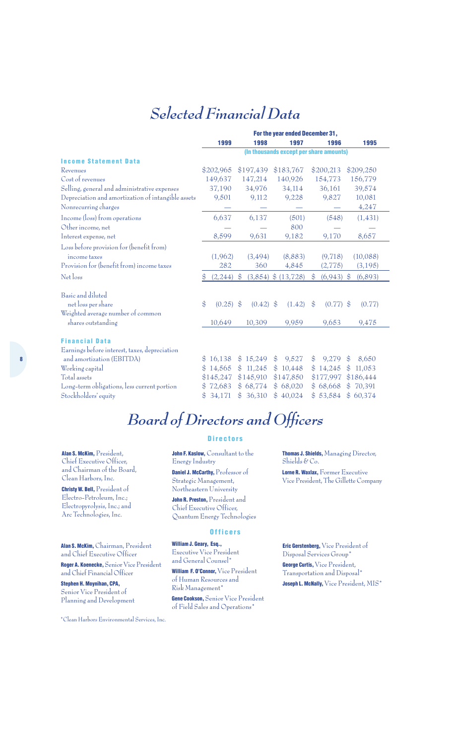### *Selected Financial Data*

|                                                    |                                         | For the year ended December 31, |               |             |               |                         |                |              |                |           |  |
|----------------------------------------------------|-----------------------------------------|---------------------------------|---------------|-------------|---------------|-------------------------|----------------|--------------|----------------|-----------|--|
|                                                    |                                         | 1999                            |               | 1998        |               | 1997                    |                | 1996         |                | 1995      |  |
|                                                    | (In thousands except per share amounts) |                                 |               |             |               |                         |                |              |                |           |  |
| <b>Income Statement Data</b>                       |                                         |                                 |               |             |               |                         |                |              |                |           |  |
| Revenues                                           |                                         | \$202,965                       |               | \$197,439   |               | \$183,767               |                | \$200,213    |                | \$209,250 |  |
| Cost of revenues                                   |                                         | 149,637                         |               | 147,214     |               | 140,926                 |                | 154,773      |                | 156,779   |  |
| Selling, general and administrative expenses       |                                         | 37,190                          |               | 34,976      |               | 34,114                  |                | 36,161       |                | 39,574    |  |
| Depreciation and amortization of intangible assets |                                         | 9,501                           |               | 9,112       |               | 9,228                   |                | 9,827        |                | 10,081    |  |
| Nonrecurring charges                               |                                         |                                 |               |             |               |                         |                |              |                | 4,247     |  |
| Income (loss) from operations                      |                                         | 6,637                           |               | 6,137       |               | (501)                   |                | (548)        |                | (1, 431)  |  |
| Other income, net                                  |                                         |                                 |               |             |               | 800                     |                |              |                |           |  |
| Interest expense, net                              |                                         | 8,599                           |               | 9,631       |               | 9,182                   |                | 9,170        |                | 8,657     |  |
| Loss before provision for (benefit from)           |                                         |                                 |               |             |               |                         |                |              |                |           |  |
| income taxes                                       |                                         | (1,962)                         |               | (3,494)     |               | (8,883)                 |                | (9, 718)     |                | (10,088)  |  |
| Provision for (benefit from) income taxes          |                                         | 282                             |               | 360         |               | 4,845                   |                | (2, 775)     |                | (3, 195)  |  |
| Net loss                                           | $\mathfrak{S}$                          | (2, 244)                        | $\frac{1}{2}$ |             |               | $(3,854)$ \$ $(13,728)$ | $\$\$          | $(6,943)$ \$ |                | (6,893)   |  |
| Basic and diluted                                  |                                         |                                 |               |             |               |                         |                |              |                |           |  |
| net loss per share                                 | \$                                      | $(0.25)$ \$                     |               | $(0.42)$ \$ |               | (1.42)                  | $\mathcal{S}$  | $(0.77)$ \$  |                | (0.77)    |  |
| Weighted average number of common                  |                                         |                                 |               |             |               |                         |                |              |                |           |  |
| shares outstanding                                 |                                         | 10,649                          |               | 10,309      |               | 9,959                   |                | 9,653        |                | 9,475     |  |
| <b>Financial Data</b>                              |                                         |                                 |               |             |               |                         |                |              |                |           |  |
| Earnings before interest, taxes, depreciation      |                                         |                                 |               |             |               |                         |                |              |                |           |  |
| and amortization (EBITDA)                          | $\mathcal{S}$                           | 16,138                          |               | \$15,249    | $\mathcal{S}$ | 9,527                   | $\mathfrak{S}$ | 9,279        | $\mathcal{S}$  | 8,650     |  |
| Working capital                                    | $\mathbb{S}$                            | 14,565                          |               | \$11,245    |               | \$10,448                |                | \$14,245     | \$             | 11,053    |  |
| Total assets                                       |                                         | \$145,247                       |               | \$145,910   |               | \$147,850               |                | \$177,997    |                | \$186,444 |  |
| Long-term obligations, less current portion        |                                         | 72,683                          |               | \$68,774    |               | \$68,020                |                | \$68,668     | \$             | 70,391    |  |
| Stockholders' equity                               | S                                       | 34,171                          | $\mathbb{S}$  | 36,310      |               | \$40,024                |                | \$53,584     | $\mathfrak{S}$ | 60,374    |  |
|                                                    |                                         |                                 |               |             |               |                         |                |              |                |           |  |

## *Board of Directors and Officers*

**Alan S. McKim,** President, Chief Executive Officer, and Chairman of the Board, Clean Harbors, Inc.

**Christy W. Bell,** President of Electro-Petroleum, Inc.; Electropyrolysis, Inc.; and Arc Technologies, Inc.

**Alan S. McKim,**Chairman, President and Chief Executive Officer

**Roger A. Koenecke,** Senior Vice President and Chief Financial Officer

**Stephen H. Moynihan, CPA,** Senior Vice President of Planning and Development

#### **Directors**

**John F. Kaslow, Consultant to the** Energy Industry

**Daniel J. McCarthy,** Professor of Strategic Management, Northeastern University

**John R. Preston,** President and Chief Executive Officer, Quantum Energy Technologies

#### **Officers**

**William J. Geary, Esq.,**  Executive Vice President and General Counsel\*

**William F. O'Connor,** Vice President of Human Resources and Risk Management\*

**Gene Cookson,** Senior Vice President of Field Sales and Operations\*

**Thomas J. Shields,** Managing Director, Shields & Co.

**Lorne R. Waxlax,** Former Executive Vice President, The Gillette Company

**Eric Gerstenberg,** Vice President of Disposal Services Group\* **George Curtis,** Vice President, Transportation and Disposal\* **Joseph L. McNally,** Vice President, MIS\*

\*Clean Harbors Environmental Services, Inc.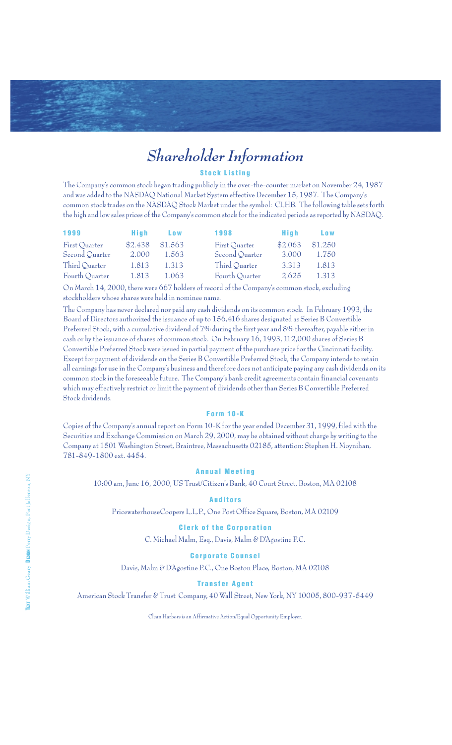## *Shareholder Information*

#### **Stock Listing**

The Company's common stock began trading publicly in the over-the-counter market on November 24, 1987 and was added to the NASDAQ National Market System effective December 15, 1987. The Company's common stock trades on the NASDAQ Stock Market under the symbol: CLHB. The following table sets forth the high and low sales prices of the Company's common stock for the indicated periods as reported by NASDAQ.

| 1999           | Hiah    | Low     | 1998           | Hiah    | <b>Low</b> |
|----------------|---------|---------|----------------|---------|------------|
| First Quarter  | \$2.438 | \$1.563 | First Quarter  | \$2.063 | \$1.250    |
| Second Quarter | 2.000   | 1.563   | Second Quarter | 3.000   | 1.750      |
| Third Quarter  | 1.813   | 1.313   | Third Quarter  | 3.313   | 1.813      |
| Fourth Quarter | 1.813   | 1.063   | Fourth Quarter | 2.625   | 1.313      |

On March 14, 2000, there were 667 holders of record of the Company's common stock, excluding stockholders whose shares were held in nominee name.

The Company has never declared nor paid any cash dividends on its common stock. In February 1993, the Board of Directors authorized the issuance of up to 156,416 shares designated as Series B Convertible Preferred Stock, with a cumulative dividend of 7% during the first year and 8% thereafter, payable either in cash or by the issuance of shares of common stock. On February 16, 1993, 112,000 shares of Series B Convertible Preferred Stock were issued in partial payment of the purchase price for the Cincinnati facility. Except for payment of dividends on the Series B Convertible Preferred Stock, the Company intends to retain all earnings for use in the Company's business and therefore does not anticipate paying any cash dividends on its common stock in the foreseeable future. The Company's bank credit agreements contain financial covenants which may effectively restrict or limit the payment of dividends other than Series B Convertible Preferred Stock dividends.

#### **Form 10-K**

Copies of the Company's annual report on Form 10-K for the year ended December 31, 1999, filed with the Securities and Exchange Commission on March 29, 2000, may be obtained without charge by writing to the Company at 1501 Washington Street, Braintree, Massachusetts 02185, attention: Stephen H. Moynihan, 781-849-1800 ext. 4454.

#### **Annual Meeting**

10:00 am, June 16, 2000, US Trust/Citizen's Bank, 40 Court Street, Boston, MA 02108

#### **Auditors**

PricewaterhouseCoopers L.L.P., One Post Office Square, Boston, MA 02109

#### **Clerk of the Corporation**

C. Michael Malm, Esq., Davis, Malm & D'Agostine P.C.

#### **Corporate Counsel**

Davis, Malm & D'Agostine P.C., One Boston Place, Boston, MA 02108

#### **Transfer Agent**

American Stock Transfer & Trust Company, 40 Wall Street, New York, NY 10005, 800-937-5449